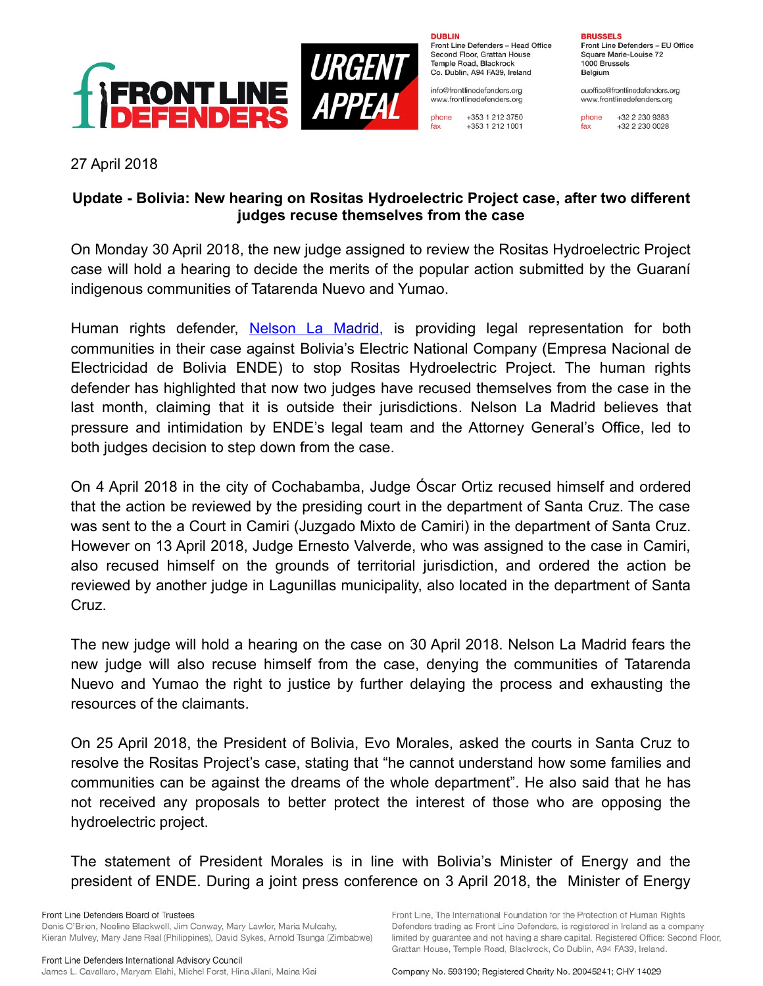

**DUBLIN** 

Front Line Defenders - Head Office Second Floor, Grattan House Temple Road, Blackrock Co. Dublin, A94 FA39, Ireland

info@frontlinedefenders.org www.frontlinedefenders.org

phone +353 1 212 3750 fax +353 1 212 1001

**BRUSSELS** Front Line Defenders - EU Office

Square Marie-Louise 72 1000 Brussels Belgium

euoffice@frontlinedefenders.org www.frontlinedefenders.org

+32 2 230 9383 phone fax +32 2 230 0028

27 April 2018

## **Update - Bolivia: New hearing on Rositas Hydroelectric Project case, after two different judges recuse themselves from the case**

On Monday 30 April 2018, the new judge assigned to review the Rositas Hydroelectric Project case will hold a hearing to decide the merits of the popular action submitted by the Guaraní indigenous communities of Tatarenda Nuevo and Yumao.

Human rights defender, Nelson La Madrid, is providing legal representation for both communities in their case against Bolivia's Electric National Company (Empresa Nacional de Electricidad de Bolivia ENDE) to stop Rositas Hydroelectric Project. The human rights defender has highlighted that now two judges have recused themselves from the case in the last month, claiming that it is outside their jurisdictions. Nelson La Madrid believes that pressure and intimidation by ENDE's legal team and the Attorney General's Office, led to both judges decision to step down from the case.

On 4 April 2018 in the city of Cochabamba, Judge Óscar Ortiz recused himself and ordered that the action be reviewed by the presiding court in the department of Santa Cruz. The case was sent to the a Court in Camiri (Juzgado Mixto de Camiri) in the department of Santa Cruz. However on 13 April 2018, Judge Ernesto Valverde, who was assigned to the case in Camiri, also recused himself on the grounds of territorial jurisdiction, and ordered the action be reviewed by another judge in Lagunillas municipality, also located in the department of Santa Cruz.

The new judge will hold a hearing on the case on 30 April 2018. Nelson La Madrid fears the new judge will also recuse himself from the case, denying the communities of Tatarenda Nuevo and Yumao the right to justice by further delaying the process and exhausting the resources of the claimants.

On 25 April 2018, the President of Bolivia, Evo Morales, asked the courts in Santa Cruz to resolve the Rositas Project's case, stating that "he cannot understand how some families and communities can be against the dreams of the whole department". He also said that he has not received any proposals to better protect the interest of those who are opposing the hydroelectric project.

The statement of President Morales is in line with Bolivia's Minister of Energy and the president of ENDE. During a joint press conference on 3 April 2018, the Minister of Energy